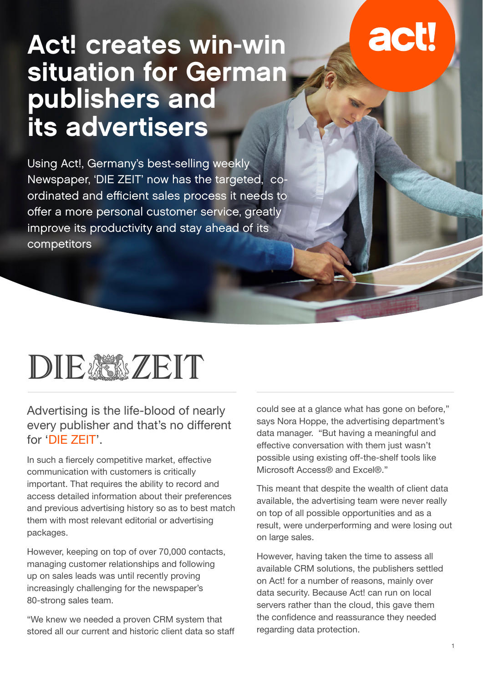## Act! creates win-win situation for German publishers and its advertisers

Using Act!, Germany's best-selling weekly Newspaper, 'DIE ZEIT' now has the targeted, coordinated and efficient sales process it needs to offer a more personal customer service, greatly improve its productivity and stay ahead of its competitors

# DIEASSZEIT

#### Advertising is the life-blood of nearly every publisher and that's no different for ' DIE ZEIT'.

In such a fiercely competitive market, effective communication with customers is critically important. That requires the ability to record and access detailed information about their preferences and previous advertising history so as to best match them with most relevant editorial or advertising packages.

However, keeping on top of over 70,000 contacts, managing customer relationships and following up on sales leads was until recently proving increasingly challenging for the newspaper's 80-strong sales team.

"We knew we needed a proven CRM system that stored all our current and historic client data so staff could see at a glance what has gone on before," says Nora Hoppe, the advertising department's data manager. "But having a meaningful and effective conversation with them just wasn't possible using existing off-the-shelf tools like Microsoft Access® and Excel®."

act

This meant that despite the wealth of client data available, the advertising team were never really on top of all possible opportunities and as a result, were underperforming and were losing out on large sales.

However, having taken the time to assess all available CRM solutions, the publishers settled on Act! for a number of reasons, mainly over data security. Because Act! can run on local servers rather than the cloud, this gave them the confidence and reassurance they needed regarding data protection.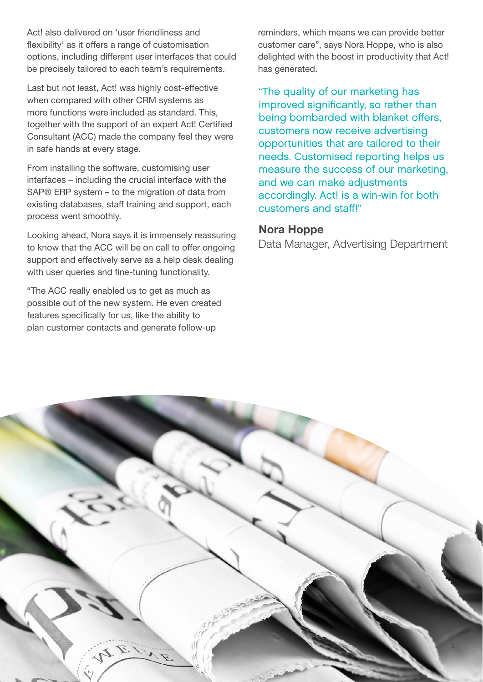Act! also delivered on 'user friendliness and flexibility' as it offers a range of customisation options, including different user interfaces that could be precisely tailored to each team's requirements.

Last but not least, Act! was highly cost-effective when compared with other CRM systems as more functions were included as standard. This, together with the support of an expert Act! Certified Consultant (ACC) made the company feel they were in safe hands at every stage.

From installing the software, customising user interfaces – including the crucial interface with the SAP® ERP system – to the migration of data from existing databases, staff training and support, each process went smoothly.

Looking ahead, Nora says it is immensely reassuring to know that the ACC will be on call to offer ongoing support and effectively serve as a help desk dealing with user queries and fine-tuning functionality.

"The ACC really enabled us to get as much as possible out of the new system. He even created features specifically for us, like the ability to plan customer contacts and generate follow-up

reminders, which means we can provide better customer care", says Nora Hoppe, who is also delighted with the boost in productivity that Act! has generated.

 "The quality of our marketing has improved significantly, so rather than being bombarded with blanket offers, customers now receive advertising opportunities that are tailored to their needs. Customised reporting helps us measure the success of our marketing, and we can make adjustments accordingly. Act! is a win-win for both customers and staff!"

#### **Nora Hoppe**

Data Manager, Advertising Department